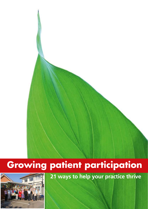# **Growing patient participation**



**21 ways to help your practice thrive**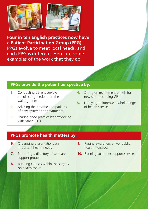

**Four in ten English practices now have a Patient Participation Group (PPG).**  PPGs evolve to meet local needs, and each PPG is different. Here are some examples of the work that they do.

## **PPGs provide the patient perspective by:**

- **1.** Conducting patient surveys or collecting feedback in the waiting room
- **2.** Advising the practice and patients of new systems and treatments
- **3.** Sharing good practice by networking with other PPGs
- **4.** Sitting on recruitment panels for new staff, including GPs
- **5.** Lobbying to improve a whole range of health services

## **PPGs promote health matters by:**

- **6.** Organising presentations on important health needs
- **7.** Producing a directory of self-care support groups
- **8.** Running courses within the surgery on health topics
- **9.** Raising awareness of key public health messages
- **10.** Running volunteer support services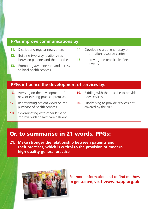#### **PPGs improve communications by:**

- **11.** Distributing regular newsletters
- **12.** Building two-way relationships between patients and the practice
- **13.** Promoting awareness of and access to local health services
- **14.** Developing a patient library or information resource centre
- **15.** Improving the practice leaflets and website

#### **PPGs influence the development of services by:**

- **16.** Advising on the development of new or existing practice premises
- **17.** Representing patient views on the purchase of health services
- **18.** Co-ordinating with other PPGs to improve wider healthcare delivery
- **19.** Bidding with the practice to provide new services
- **20.** Fundraising to provide services not covered by the NHS

# Or, to summarise in 21 words, PPGs:

**21. Make stronger the relationship between patients and their practices, which is critical to the provision of modern, high‑quality general practice** 



For more information and to find out how to get started, **visit [www.napp.org.uk](http://www.napp.org.uk)**